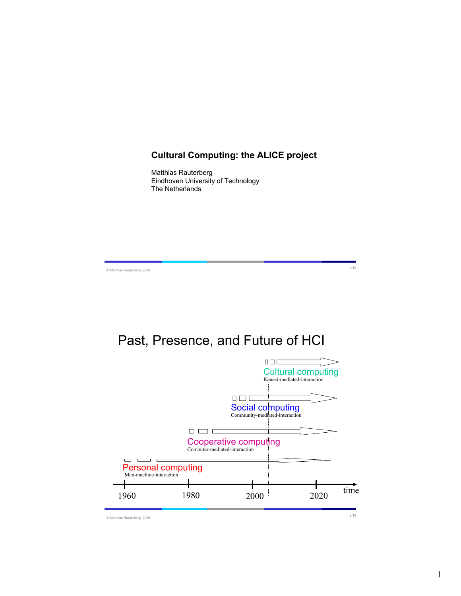### **Cultural Computing: the ALICE project**

Matthias Rauterberg Eindhoven University of Technology The Netherlands

© Matthias Rauterberg, 2006 1/18

# Past, Presence, and Future of HCI

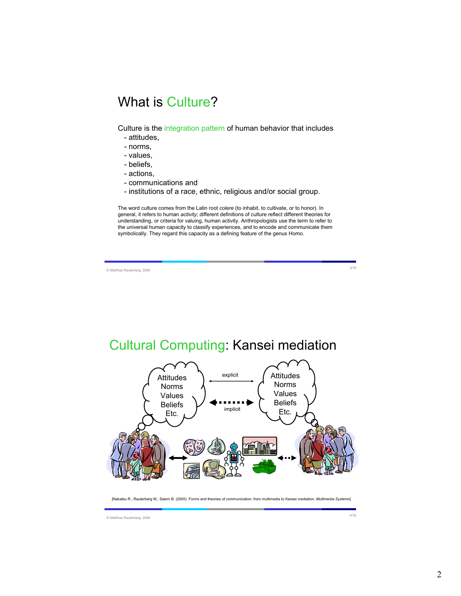# What is Culture?

Culture is the integration pattern of human behavior that includes

- attitudes,
- norms,
- values,
- beliefs,
- actions,
- communications and
- institutions of a race, ethnic, religious and/or social group.

The word culture comes from the Latin root *colere* (to inhabit, to cultivate, or to honor). In general, it refers to human *activity*; different definitions of culture reflect different theories for understanding, or criteria for valuing, human activity. Anthropologists use the term to refer to the universal human capacity to classify experiences, and to encode and communicate them symbolically. They regard this capacity as a defining feature of the genus Homo.

© Matthias Rauterberg, 2006 3/18

# Cultural Computing: Kansei mediation



[Nakatsu R., Rauterberg M., Salem B. (2005). Forms and theories of communication: from multimedia to Kansei mediation. *Multimedia Systems*]

© Matthias Rauterberg, 2006 4/18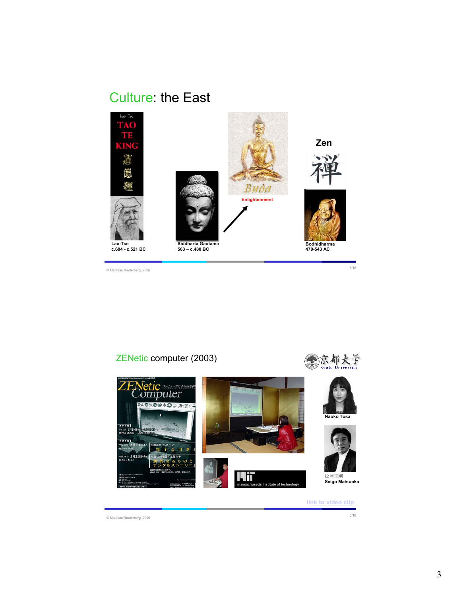# Culture: the East



ZENetic computer (2003)



**link to video clip**

© Matthias Rauterberg, 2006 6/18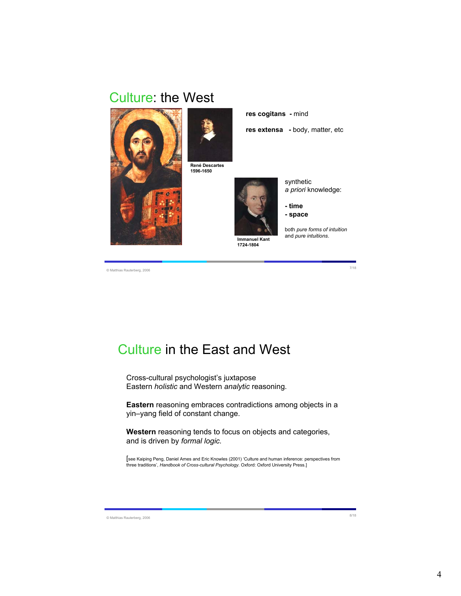### Culture: the West





**René Descartes 1596-1650**



**1724-1804**

synthetic *a priori* knowledge:

**- time - space**

**res extensa -** body, matter, etc

**res cogitans -** mind

both *pure forms of intuition* and *pure intuitions*.

© Matthias Rauterberg, 2006 7/18

# Culture in the East and West

Cross-cultural psychologist's juxtapose Eastern *holistic* and Western *analytic* reasoning.

**Eastern** reasoning embraces contradictions among objects in a yin–yang field of constant change.

**Western** reasoning tends to focus on objects and categories, and is driven by *formal logic.*

[see Kaiping Peng, Daniel Ames and Eric Knowles (2001) 'Culture and human inference: perspectives from three traditions', *Handbook of Cross-cultural Psychology.* Oxford: Oxford University Press.]

© Matthias Rauterberg, 2006 8/18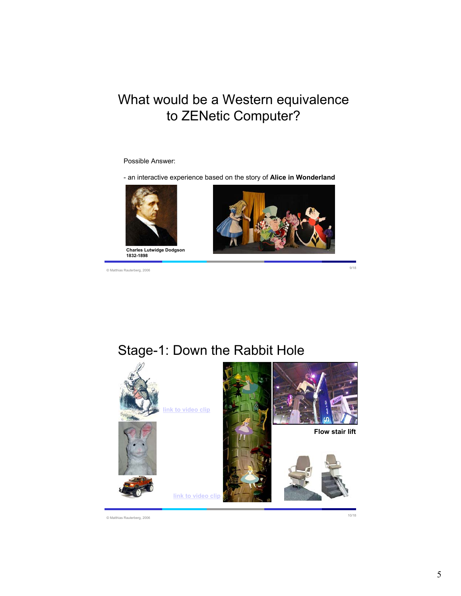# What would be a Western equivalence to ZENetic Computer?

#### Possible Answer:

- an interactive experience based on the story of **Alice in Wonderland**



© Matthias Rauterberg, 2006 9/18



### Stage-1: Down the Rabbit Hole



© Matthias Rauterberg, 2006 10/18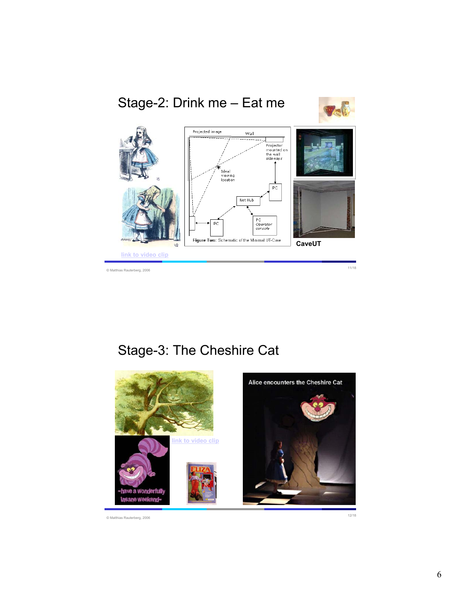

# Stage-3: The Cheshire Cat

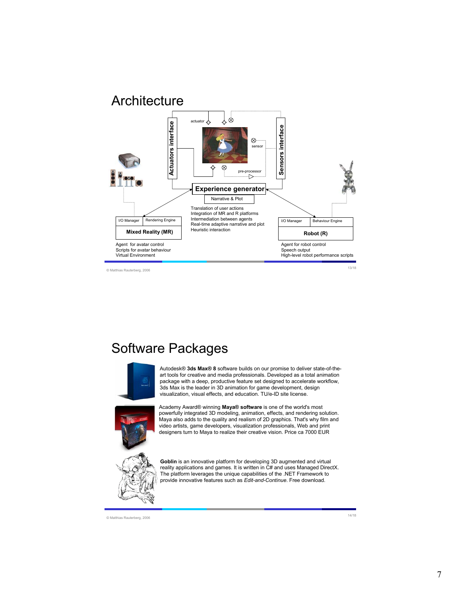

### Software Packages



Autodesk® **3ds Max® 8** software builds on our promise to deliver state-of-theart tools for creative and media professionals. Developed as a total animation package with a deep, productive feature set designed to accelerate workflow, 3ds Max is the leader in 3D animation for game development, design visualization, visual effects, and education. TU/e-ID site license.



Academy Award® winning **Maya® software** is one of the world's most powerfully integrated 3D modeling, animation, effects, and rendering solution. Maya also adds to the quality and realism of 2D graphics. That's why film and video artists, game developers, visualization professionals, Web and print designers turn to Maya to realize their creative vision. Price ca 7000 EUR

**Goblin** is an innovative platform for developing 3D augmented and virtual reality applications and games. It is written in C# and uses Managed DirectX. The platform leverages the unique capabilities of the .NET Framework to provide innovative features such as *Edit-and-Continue*. Free download.

© Matthias Rauterberg, 2006 14/18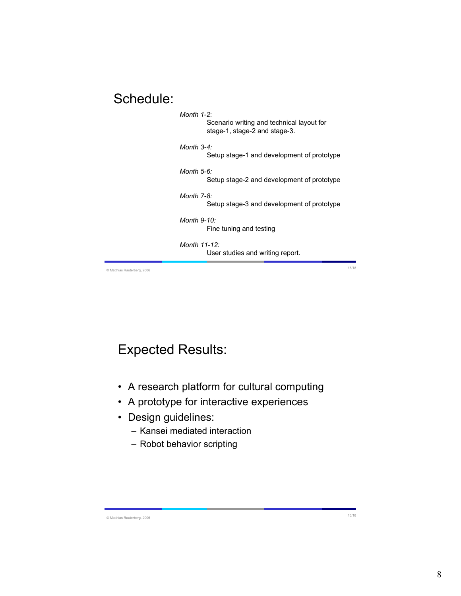### Schedule:

| Month $1-2$ :<br>Scenario writing and technical layout for<br>stage-1, stage-2 and stage-3. |
|---------------------------------------------------------------------------------------------|
| Month $3-4$<br>Setup stage-1 and development of prototype                                   |
| Month 5-6:<br>Setup stage-2 and development of prototype                                    |
| Month 7-8:<br>Setup stage-3 and development of prototype                                    |
| Month 9-10:<br>Fine tuning and testing                                                      |
| Month $11-12$ :<br>User studies and writing report.                                         |

© Matthias Rauterberg, 2006 15/18

# Expected Results:

- A research platform for cultural computing
- A prototype for interactive experiences
- Design guidelines:
	- Kansei mediated interaction
	- Robot behavior scripting

© Matthias Rauterberg, 2006 16/18